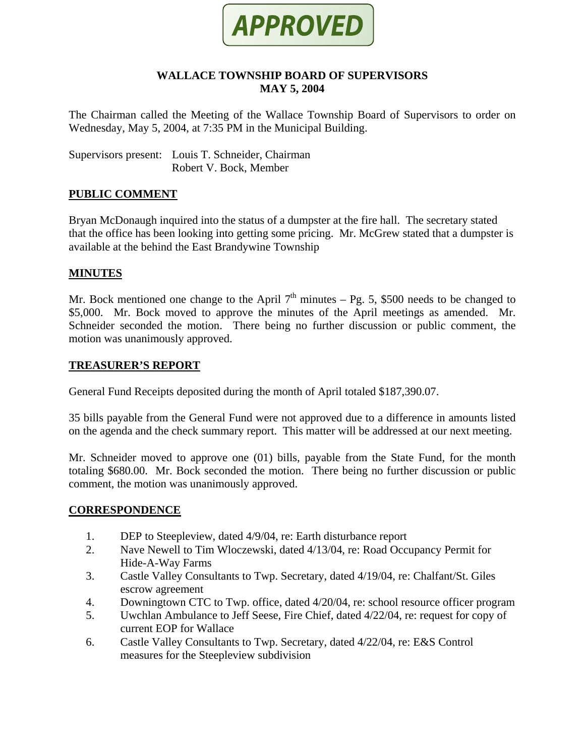

### **WALLACE TOWNSHIP BOARD OF SUPERVISORS MAY 5, 2004**

The Chairman called the Meeting of the Wallace Township Board of Supervisors to order on Wednesday, May 5, 2004, at 7:35 PM in the Municipal Building.

Supervisors present: Louis T. Schneider, Chairman Robert V. Bock, Member

# **PUBLIC COMMENT**

Bryan McDonaugh inquired into the status of a dumpster at the fire hall. The secretary stated that the office has been looking into getting some pricing. Mr. McGrew stated that a dumpster is available at the behind the East Brandywine Township

#### **MINUTES**

Mr. Bock mentioned one change to the April  $7<sup>th</sup>$  minutes – Pg. 5, \$500 needs to be changed to \$5,000. Mr. Bock moved to approve the minutes of the April meetings as amended. Mr. Schneider seconded the motion. There being no further discussion or public comment, the motion was unanimously approved.

### **TREASURER'S REPORT**

General Fund Receipts deposited during the month of April totaled \$187,390.07.

35 bills payable from the General Fund were not approved due to a difference in amounts listed on the agenda and the check summary report. This matter will be addressed at our next meeting.

Mr. Schneider moved to approve one (01) bills, payable from the State Fund, for the month totaling \$680.00. Mr. Bock seconded the motion. There being no further discussion or public comment, the motion was unanimously approved.

#### **CORRESPONDENCE**

- 1. DEP to Steepleview, dated 4/9/04, re: Earth disturbance report
- 2. Nave Newell to Tim Wloczewski, dated 4/13/04, re: Road Occupancy Permit for Hide-A-Way Farms
- 3. Castle Valley Consultants to Twp. Secretary, dated 4/19/04, re: Chalfant/St. Giles escrow agreement
- 4. Downingtown CTC to Twp. office, dated 4/20/04, re: school resource officer program
- 5. Uwchlan Ambulance to Jeff Seese, Fire Chief, dated 4/22/04, re: request for copy of current EOP for Wallace
- 6. Castle Valley Consultants to Twp. Secretary, dated 4/22/04, re: E&S Control measures for the Steepleview subdivision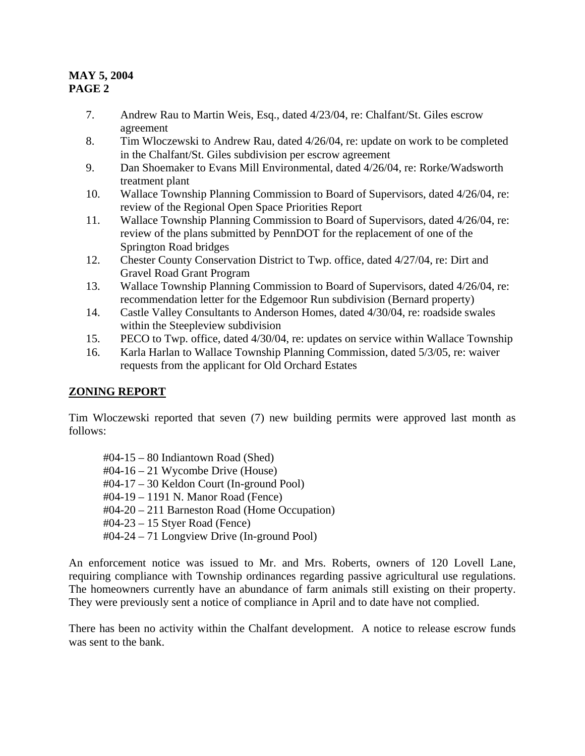- 7. Andrew Rau to Martin Weis, Esq., dated 4/23/04, re: Chalfant/St. Giles escrow agreement
- 8. Tim Wloczewski to Andrew Rau, dated 4/26/04, re: update on work to be completed in the Chalfant/St. Giles subdivision per escrow agreement
- 9. Dan Shoemaker to Evans Mill Environmental, dated 4/26/04, re: Rorke/Wadsworth treatment plant
- 10. Wallace Township Planning Commission to Board of Supervisors, dated 4/26/04, re: review of the Regional Open Space Priorities Report
- 11. Wallace Township Planning Commission to Board of Supervisors, dated 4/26/04, re: review of the plans submitted by PennDOT for the replacement of one of the Springton Road bridges
- 12. Chester County Conservation District to Twp. office, dated 4/27/04, re: Dirt and Gravel Road Grant Program
- 13. Wallace Township Planning Commission to Board of Supervisors, dated 4/26/04, re: recommendation letter for the Edgemoor Run subdivision (Bernard property)
- 14. Castle Valley Consultants to Anderson Homes, dated 4/30/04, re: roadside swales within the Steepleview subdivision
- 15. PECO to Twp. office, dated 4/30/04, re: updates on service within Wallace Township
- 16. Karla Harlan to Wallace Township Planning Commission, dated 5/3/05, re: waiver requests from the applicant for Old Orchard Estates

# **ZONING REPORT**

Tim Wloczewski reported that seven (7) new building permits were approved last month as follows:

 $\text{\#}04 - 15 - 80$  Indiantown Road (Shed)  $\text{\#04-16}-21$  Wycombe Drive (House) #04-17 – 30 Keldon Court (In-ground Pool) #04-19 – 1191 N. Manor Road (Fence) #04-20 – 211 Barneston Road (Home Occupation) #04-23 – 15 Styer Road (Fence) #04-24 – 71 Longview Drive (In-ground Pool)

An enforcement notice was issued to Mr. and Mrs. Roberts, owners of 120 Lovell Lane, requiring compliance with Township ordinances regarding passive agricultural use regulations. The homeowners currently have an abundance of farm animals still existing on their property. They were previously sent a notice of compliance in April and to date have not complied.

There has been no activity within the Chalfant development. A notice to release escrow funds was sent to the bank.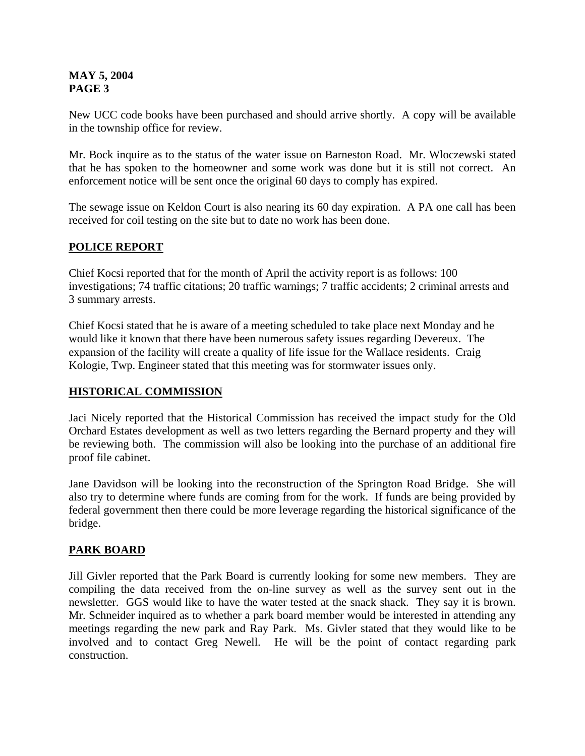New UCC code books have been purchased and should arrive shortly. A copy will be available in the township office for review.

Mr. Bock inquire as to the status of the water issue on Barneston Road. Mr. Wloczewski stated that he has spoken to the homeowner and some work was done but it is still not correct. An enforcement notice will be sent once the original 60 days to comply has expired.

The sewage issue on Keldon Court is also nearing its 60 day expiration. A PA one call has been received for coil testing on the site but to date no work has been done.

# **POLICE REPORT**

Chief Kocsi reported that for the month of April the activity report is as follows: 100 investigations; 74 traffic citations; 20 traffic warnings; 7 traffic accidents; 2 criminal arrests and 3 summary arrests.

Chief Kocsi stated that he is aware of a meeting scheduled to take place next Monday and he would like it known that there have been numerous safety issues regarding Devereux. The expansion of the facility will create a quality of life issue for the Wallace residents. Craig Kologie, Twp. Engineer stated that this meeting was for stormwater issues only.

# **HISTORICAL COMMISSION**

Jaci Nicely reported that the Historical Commission has received the impact study for the Old Orchard Estates development as well as two letters regarding the Bernard property and they will be reviewing both. The commission will also be looking into the purchase of an additional fire proof file cabinet.

Jane Davidson will be looking into the reconstruction of the Springton Road Bridge. She will also try to determine where funds are coming from for the work. If funds are being provided by federal government then there could be more leverage regarding the historical significance of the bridge.

# **PARK BOARD**

Jill Givler reported that the Park Board is currently looking for some new members. They are compiling the data received from the on-line survey as well as the survey sent out in the newsletter. GGS would like to have the water tested at the snack shack. They say it is brown. Mr. Schneider inquired as to whether a park board member would be interested in attending any meetings regarding the new park and Ray Park. Ms. Givler stated that they would like to be involved and to contact Greg Newell. He will be the point of contact regarding park construction.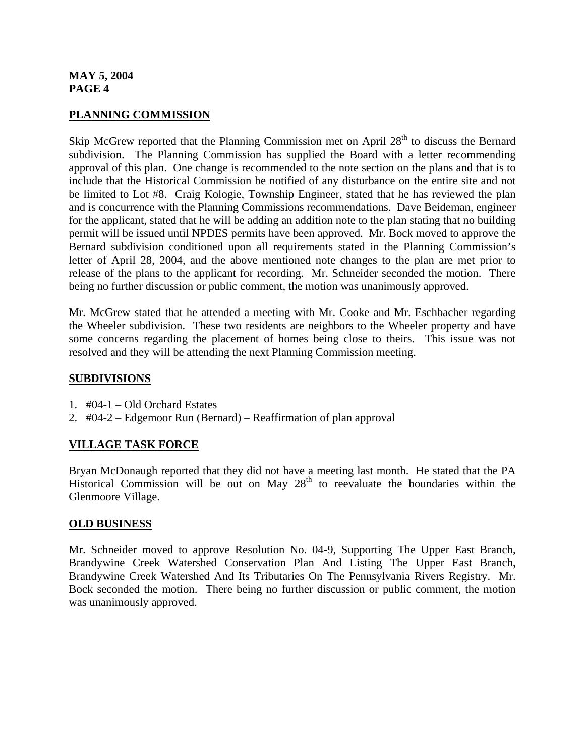### **PLANNING COMMISSION**

Skip McGrew reported that the Planning Commission met on April 28<sup>th</sup> to discuss the Bernard subdivision. The Planning Commission has supplied the Board with a letter recommending approval of this plan. One change is recommended to the note section on the plans and that is to include that the Historical Commission be notified of any disturbance on the entire site and not be limited to Lot #8. Craig Kologie, Township Engineer, stated that he has reviewed the plan and is concurrence with the Planning Commissions recommendations. Dave Beideman, engineer for the applicant, stated that he will be adding an addition note to the plan stating that no building permit will be issued until NPDES permits have been approved. Mr. Bock moved to approve the Bernard subdivision conditioned upon all requirements stated in the Planning Commission's letter of April 28, 2004, and the above mentioned note changes to the plan are met prior to release of the plans to the applicant for recording. Mr. Schneider seconded the motion. There being no further discussion or public comment, the motion was unanimously approved.

Mr. McGrew stated that he attended a meeting with Mr. Cooke and Mr. Eschbacher regarding the Wheeler subdivision. These two residents are neighbors to the Wheeler property and have some concerns regarding the placement of homes being close to theirs. This issue was not resolved and they will be attending the next Planning Commission meeting.

#### **SUBDIVISIONS**

- 1. #04-1 Old Orchard Estates
- 2. #04-2 Edgemoor Run (Bernard) Reaffirmation of plan approval

# **VILLAGE TASK FORCE**

Bryan McDonaugh reported that they did not have a meeting last month. He stated that the PA Historical Commission will be out on May  $28<sup>th</sup>$  to reevaluate the boundaries within the Glenmoore Village.

#### **OLD BUSINESS**

Mr. Schneider moved to approve Resolution No. 04-9, Supporting The Upper East Branch, Brandywine Creek Watershed Conservation Plan And Listing The Upper East Branch, Brandywine Creek Watershed And Its Tributaries On The Pennsylvania Rivers Registry. Mr. Bock seconded the motion. There being no further discussion or public comment, the motion was unanimously approved.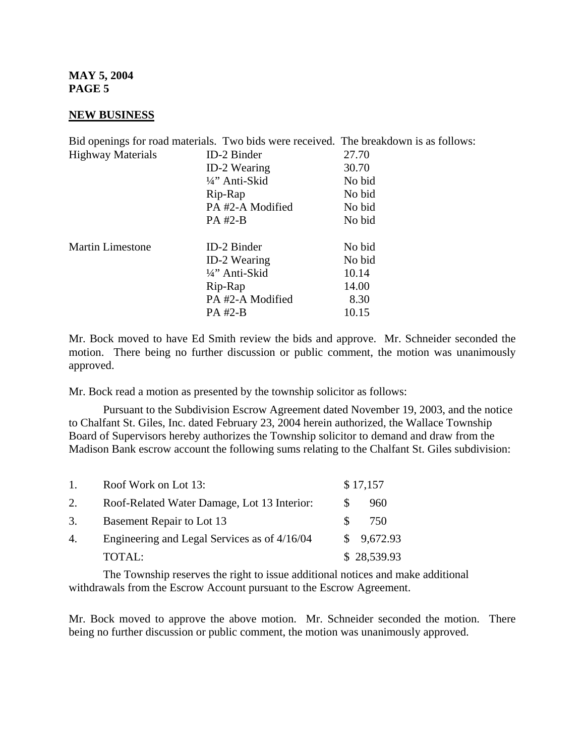#### **NEW BUSINESS**

|                          | Bid openings for road materials. Two bids were received. The breakdown is as follows: |        |
|--------------------------|---------------------------------------------------------------------------------------|--------|
| <b>Highway Materials</b> | ID-2 Binder                                                                           | 27.70  |
|                          | <b>ID-2 Wearing</b>                                                                   | 30.70  |
|                          | 1/4" Anti-Skid                                                                        | No bid |
|                          | Rip-Rap                                                                               | No bid |
|                          | PA#2-A Modified                                                                       | No bid |
|                          | PA #2-B                                                                               | No bid |
| <b>Martin Limestone</b>  | <b>ID-2 Binder</b>                                                                    | No bid |
|                          | <b>ID-2 Wearing</b>                                                                   | No bid |
|                          | 1/4" Anti-Skid                                                                        | 10.14  |
|                          | Rip-Rap                                                                               | 14.00  |
|                          | PA#2-A Modified                                                                       | 8.30   |
|                          | PA #2-B                                                                               | 10.15  |

Mr. Bock moved to have Ed Smith review the bids and approve. Mr. Schneider seconded the motion. There being no further discussion or public comment, the motion was unanimously approved.

Mr. Bock read a motion as presented by the township solicitor as follows:

 Pursuant to the Subdivision Escrow Agreement dated November 19, 2003, and the notice to Chalfant St. Giles, Inc. dated February 23, 2004 herein authorized, the Wallace Township Board of Supervisors hereby authorizes the Township solicitor to demand and draw from the Madison Bank escrow account the following sums relating to the Chalfant St. Giles subdivision:

| $\mathbf{1}$ . | Roof Work on Lot 13:                         |    | \$17,157    |
|----------------|----------------------------------------------|----|-------------|
| 2.             | Roof-Related Water Damage, Lot 13 Interior:  | S. | 960         |
| 3.             | Basement Repair to Lot 13                    | S. | 750         |
| 4.             | Engineering and Legal Services as of 4/16/04 |    | \$9,672.93  |
|                | TOTAL:                                       |    | \$28,539.93 |

 The Township reserves the right to issue additional notices and make additional withdrawals from the Escrow Account pursuant to the Escrow Agreement.

Mr. Bock moved to approve the above motion. Mr. Schneider seconded the motion. There being no further discussion or public comment, the motion was unanimously approved.